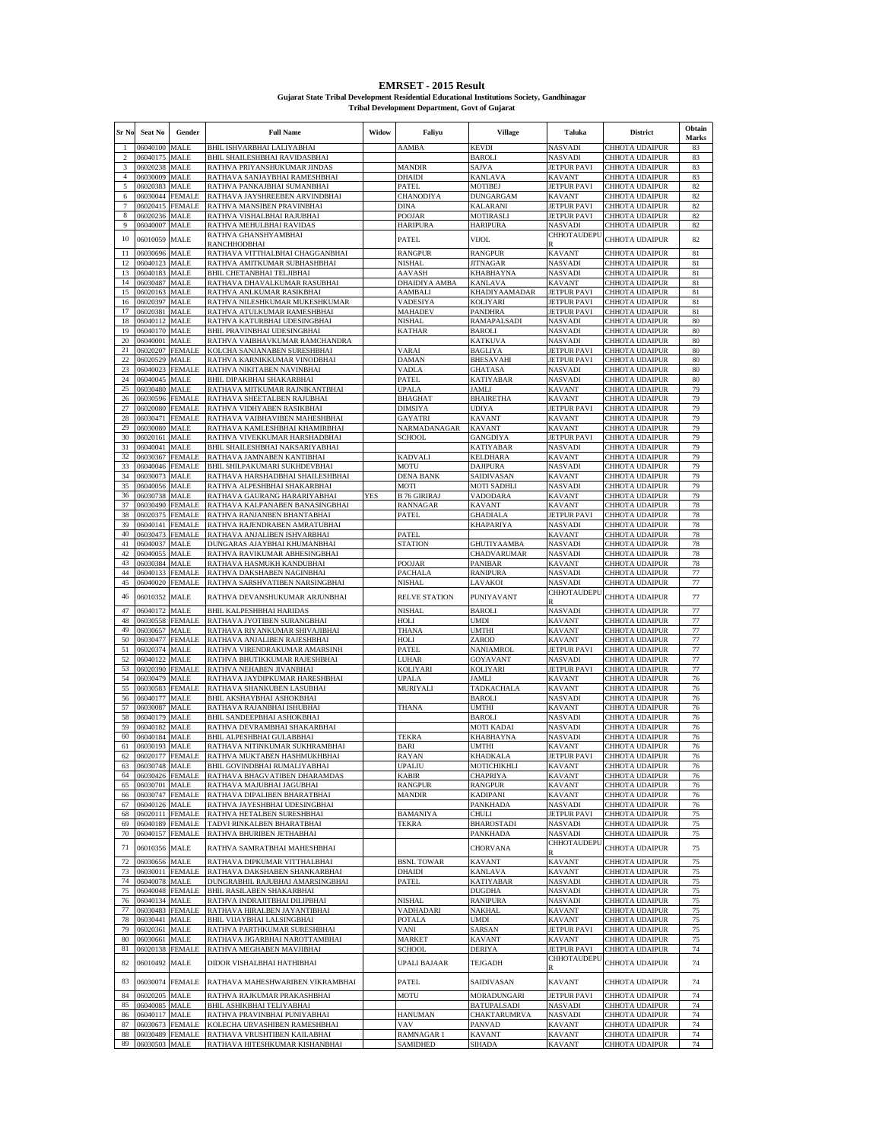| <b>EMRSET - 2015 Result</b>                                                                |
|--------------------------------------------------------------------------------------------|
| Guiarat State Tribal Development Residential Educational Institutions Society, Gandhinagar |
| <b>Tribal Development Department, Govt of Guiarat</b>                                      |

| Sr No                        | <b>Seat No</b>                   | Gender                       | <b>Full Name</b>                                                 | Widow      | Faliyu                         | <b>Village</b>                      | Taluka                               | <b>District</b>                  | Obtain<br>Marks |
|------------------------------|----------------------------------|------------------------------|------------------------------------------------------------------|------------|--------------------------------|-------------------------------------|--------------------------------------|----------------------------------|-----------------|
| $\mathbf{1}$                 | 06040100                         | MALE                         | BHIL ISHVARBHAI LALIYABHAI                                       |            | AAMBA                          | KEVDI                               | NASVADI                              | CHHOTA UDAIPUR                   | 83              |
| $\overline{\mathbf{c}}$<br>3 | 06040175                         | <b>MALE</b>                  | BHIL SHAILESHBHAI RAVIDASBHAI                                    |            |                                | <b>BAROLI</b>                       | NASVADI<br><b>JETPUR PAVI</b>        | CHHOTA UDAIPUR                   | 83              |
| $\overline{4}$               | 06020238<br>06030009             | MALE<br>MALE                 | RATHVA PRIYANSHUKUMAR JINDAS<br>RATHAVA SANJAYBHAI RAMESHBHAI    |            | MANDIR<br><b>DHAIDI</b>        | SAJVA<br><b>KANLAVA</b>             | <b>KAVANT</b>                        | CHHOTA UDAIPUR<br>CHHOTA UDAIPUR | 83<br>83        |
| 5                            | 06020383                         | MALE                         | RATHVA PANKAJBHAI SUMANBHAI                                      |            | PATEL                          | <b>MOTIBEJ</b>                      | <b>JETPUR PAVI</b>                   | CHHOTA UDAIPUR                   | 82              |
| 6                            | 06030044                         | <b>FEMALE</b>                | RATHAVA JAYSHREEBEN ARVINDBHAI                                   |            | <b>CHANODIYA</b>               | <b>DUNGARGAM</b>                    | <b>KAVANT</b>                        | CHHOTA UDAIPUR                   | 82              |
| $\overline{7}$               | 06020415                         | <b>FEMALE</b>                | RATHVA MANSIBEN PRAVINBHAI                                       |            | <b>DINA</b>                    | <b>KALARANI</b>                     | <b>JETPUR PAVI</b>                   | CHHOTA UDAIPUR                   | 82              |
| 8<br>$\overline{9}$          | 06020236                         | <b>MALE</b>                  | RATHVA VISHALBHAI RAJUBHAI                                       |            | POOJAR                         | <b>MOTIRASLI</b><br><b>HARIPURA</b> | <b>JETPUR PAVI</b>                   | CHHOTA UDAIPUR                   | 82              |
|                              | 06040007                         | MALE                         | RATHVA MEHULBHAI RAVIDAS<br>RATHVA GHANSHYAMBHAI                 |            | <b>HARIPURA</b>                |                                     | NASVADI<br>CHHOTAUDEPU               | CHHOTA UDAIPUR                   | 82              |
| 10                           | 06010059                         | MALE                         | RANCHHODBHAI                                                     |            | PATEL                          | <b>VIJOL</b>                        |                                      | CHHOTA UDAIPUR                   | 82              |
| 11                           | 06030696                         | <b>MALE</b>                  | RATHAVA VITTHALBHAI CHAGGANBHAI                                  |            | <b>RANGPUR</b>                 | <b>RANGPUR</b>                      | <b>KAVANT</b>                        | CHHOTA UDAIPUR                   | 81              |
| 12                           | 06040123                         | <b>MALE</b>                  | RATHVA AMITKUMAR SUBHASHBHAI                                     |            | <b>NISHAL</b>                  | <b>JITNAGAR</b>                     | <b>NASVADI</b>                       | CHHOTA UDAIPUR                   | 81              |
| 13<br>14                     | 06040183<br>06030487             | MALE<br><b>MALE</b>          | BHIL CHETANBHAI TELJIBHAI<br>RATHAVA DHAVALKUMAR RASUBHAI        |            | <b>AAVASH</b><br>DHAIDIYA AMBA | <b>KHABHAYNA</b><br><b>KANLAVA</b>  | NASVADI<br><b>KAVANT</b>             | CHHOTA UDAIPUR<br>CHHOTA UDAIPUR | 81<br>81        |
| 15                           | 06020163                         | <b>MALE</b>                  | RATHVA ANLKUMAR RASIKBHAI                                        |            | AAMBALI                        | KHADIYAAMADAR                       | <b>JETPUR PAVI</b>                   | CHHOTA UDAIPUR                   | 81              |
| 16                           | 06020397                         | <b>MALE</b>                  | RATHVA NILESHKUMAR MUKESHKUMAR                                   |            | <b>VADESIYA</b>                | <b>KOLIYARI</b>                     | <b>JETPUR PAVI</b>                   | CHHOTA UDAIPUR                   | 81              |
| 17                           | 06020381                         | MALE                         | RATHVA ATULKUMAR RAMESHBHAI                                      |            | <b>MAHADEV</b>                 | <b>PANDHRA</b>                      | <b>JETPUR PAVI</b>                   | CHHOTA UDAIPUR                   | 81              |
| 18<br>19                     | 06040112                         | <b>MALE</b>                  | RATHVA KATURBHAI UDESINGBHAI                                     |            | NISHAL                         | RAMAPALSADI                         | <b>NASVADI</b>                       | CHHOTA UDAIPUR                   | 80              |
| 20                           | 06040170<br>06040001             | MALE<br>MALE                 | BHIL PRAVINBHAI UDESINGBHAI<br>RATHVA VAIBHAVKUMAR RAMCHANDRA    |            | <b>KATHAR</b>                  | <b>BAROLI</b><br>KATKUVA            | NASVADI<br><b>NASVADI</b>            | CHHOTA UDAIPUR<br>CHHOTA UDAIPUR | 80<br>80        |
| 21                           | 06020207                         | <b>FEMALE</b>                | KOLCHA SANJANABEN SURESHBHAI                                     |            | VARAI                          | <b>BAGLIYA</b>                      | JETPUR PAVI                          | CHHOTA UDAIPUR                   | 80              |
| 22                           | 06020529                         | MALE                         | RATHVA KARNIKKUMAR VINODBHAI                                     |            | DAMAN                          | <b>BHESAVAHI</b>                    | JETPUR PAVI                          | CHHOTA UDAIPUR                   | 80              |
| 23                           | 06040023                         | <b>FEMALE</b>                | RATHVA NIKITABEN NAVINBHAI                                       |            | <b>VADLA</b>                   | <b>GHATASA</b>                      | NASVADI                              | CHHOTA UDAIPUR                   | 80              |
| 24<br>25                     | 06040045<br>06030480             | MALE<br>MALE                 | BHIL DIPAKBHAI SHAKARBHAI<br>RATHAVA MITKUMAR RAJNIKANTBHAI      |            | PATEL<br><b>UPALA</b>          | KATIYABAR<br>JAMLI                  | NASVADI<br>KAVANT                    | CHHOTA UDAIPUR                   | 80<br>79        |
| 26                           | 06030596                         | FEMALE                       | RATHAVA SHEETALBEN RAJUBHAI                                      |            | BHAGHAT                        | <b>BHAIRETHA</b>                    | KAVANT                               | CHHOTA UDAIPUR<br>CHHOTA UDAIPUR | 79              |
| 27                           | 06020080                         | <b>FEMALE</b>                | RATHVA VIDHYABEN RASIKBHAI                                       |            | DIMSIYA                        | UDIYA                               | <b>JETPUR PAVI</b>                   | CHHOTA UDAIPUR                   | 79              |
| 28                           | 06030471                         | FEMALE                       | RATHAVA VAIBHAVIBEN MAHESHBHAI                                   |            | GAYATRI                        | KAVANT                              | <b>KAVANT</b>                        | CHHOTA UDAIPUR                   | 79              |
| 29                           | 06030080                         | MALE                         | RATHAVA KAMLESHBHAI KHAMIRBHAI                                   |            | NARMADANAGAR                   | <b>KAVANT</b>                       | <b>KAVANT</b>                        | CHHOTA UDAIPUR                   | 79              |
| 30<br>31                     | 06020161<br>06040041             | MALE<br><b>MALE</b>          | RATHVA VIVEKKUMAR HARSHADBHAI<br>BHIL SHAILESHBHAI NAKSARIYABHAI |            | <b>SCHOOL</b>                  | GANGDIYA<br>KATIYABAR               | <b>JETPUR PAVI</b><br>NASVADI        | CHHOTA UDAIPUR<br>CHHOTA UDAIPUR | 79<br>79        |
| 32                           | 06030367                         | <b>FEMALE</b>                | RATHAVA JAMNABEN KANTIBHAI                                       |            | <b>KADVALI</b>                 | KELDHARA                            | KAVANT                               | CHHOTA UDAIPUR                   | 79              |
| 33                           | 06040046                         | <b>FEMALE</b>                | BHIL SHILPAKUMARI SUKHDEVBHAI                                    |            | MOTU                           | <b>DAJIPURA</b>                     | NASVADI                              | CHHOTA UDAIPUR                   | 79              |
| 34                           | 06030073                         | <b>MALE</b>                  | RATHAVA HARSHADBHAI SHAILESHBHAI                                 |            | <b>DENA BANK</b>               | SAIDIVASAN                          | KAVANT                               | CHHOTA UDAIPUR                   | 79              |
| 35<br>36                     | 06040056<br>06030738             | <b>MALE</b><br><b>MALE</b>   | RATHVA ALPESHBHAI SHAKARBHAI<br>RATHAVA GAURANG HARARIYABHAI     | <b>YES</b> | MOTI<br><b>B 76 GIRIRAJ</b>    | MOTI SADHLI<br>VADODARA             | <b>NASVADI</b><br><b>KAVANT</b>      | CHHOTA UDAIPUR<br>CHHOTA UDAIPUR | 79<br>79        |
| 37                           | 06030490                         | <b>FEMALE</b>                | RATHAVA KALPANABEN BANASINGBHAI                                  |            | <b>RANNAGAR</b>                | <b>KAVANT</b>                       | <b>KAVANT</b>                        | CHHOTA UDAIPUR                   | 78              |
| 38                           | 06020375                         | FEMALE                       | RATHVA RANJANBEN BHANTABHAI                                      |            | PATEL                          | GHADIALA                            | <b>JETPUR PAVI</b>                   | CHHOTA UDAIPUR                   | 78              |
| 39                           | 06040141<br>06030473             | <b>FEMALE</b>                | RATHVA RAJENDRABEN AMRATUBHAI                                    |            |                                | <b>KHAPARIYA</b>                    | <b>NASVADI</b>                       | CHHOTA UDAIPUR                   | 78              |
| 40<br>41                     | 06040037                         | <b>FEMALE</b><br><b>MALE</b> | RATHAVA ANJALIBEN ISHVARBHAI<br>DUNGARAS AJAYBHAI KHUMANBHAI     |            | PATEL<br><b>STATION</b>        | <b>GHUTIYAAMBA</b>                  | <b>KAVANT</b><br><b>NASVADI</b>      | CHHOTA UDAIPUR<br>CHHOTA UDAIPUR | 78<br>78        |
| 42                           | 06040055                         | MALE                         | RATHVA RAVIKUMAR ABHESINGBHAI                                    |            |                                | CHADVARUMAR                         | NASVADI                              | CHHOTA UDAIPUR                   | 78              |
| 43                           | 06030384                         | MALE                         | RATHAVA HASMUKH KANDUBHAI                                        |            | <b>POOJAR</b>                  | <b>PANIBAR</b>                      | <b>KAVANT</b>                        | CHHOTA UDAIPUR                   | 78              |
| 44                           | 06040133                         | <b>FEMALE</b>                | RATHVA DAKSHABEN NAGINBHAI                                       |            | <b>PACHALA</b>                 | <b>RANIPURA</b>                     | <b>NASVADI</b>                       | CHHOTA UDAIPUR                   | 77              |
| 45                           | 06040020                         | <b>FEMALE</b>                | RATHVA SARSHVATIBEN NARSINGBHAI                                  |            | <b>NISHAL</b>                  | LAVAKOI                             | <b>NASVADI</b><br>CHHOTAUDEPU        | CHHOTA UDAIPUR                   | 77              |
| 46                           | 06010352                         | MALE                         | RATHVA DEVANSHUKUMAR ARJUNBHAI                                   |            | <b>RELVE STATION</b>           | PUNIYAVANT                          |                                      | CHHOTA UDAIPUR                   | 77              |
| 47                           | 06040172                         | <b>MALE</b>                  | BHIL KALPESHBHAI HARIDAS                                         |            | NISHAL                         | <b>BAROLI</b>                       | <b>NASVADI</b>                       | CHHOTA UDAIPUR                   | 77              |
| 48<br>49                     | 06030558<br>06030657             | <b>FEMALE</b><br><b>MALE</b> | RATHAVA JYOTIBEN SURANGBHAI<br>RATHAVA RIYANKUMAR SHIVAJIBHAI    |            | HOLI<br>THANA                  | UMDI<br><b>UMTHI</b>                | <b>KAVANT</b><br><b>KAVANT</b>       | CHHOTA UDAIPUR<br>CHHOTA UDAIPUR | 77<br>77        |
| 50                           | 06030477                         | FEMALE                       | RATHAVA ANJALIBEN RAJESHBHAI                                     |            | HOLI                           | ZAROD                               | <b>KAVANT</b>                        | CHHOTA UDAIPUR                   | 77              |
| 51                           | 06020374                         | MALE                         | RATHVA VIRENDRAKUMAR AMARSINH                                    |            | PATEL                          | NANIAMROL                           | JETPUR PAVI                          | CHHOTA UDAIPUR                   | 77              |
| 52                           | 06040122                         | <b>MALE</b>                  | RATHVA BHUTIKKUMAR RAJESHBHAI                                    |            | LUHAR                          | GOYAVANT                            | NASVADI                              | CHHOTA UDAIPUR                   | 77              |
| 53<br>54                     | 06020390<br>06030479             | <b>FEMALE</b><br>MALE        | RATHVA NEHABEN JIVANBHAI<br>RATHAVA JAYDIPKUMAR HARESHBHAI       |            | KOLIYARI<br>UPALA              | KOLIYARI<br>JAMLI                   | JETPUR PAVI<br><b>KAVANT</b>         | CHHOTA UDAIPUR<br>CHHOTA UDAIPUR | 77<br>76        |
| 55                           | 06030583                         | FEMALE                       | RATHAVA SHANKUBEN LASUBHAI                                       |            | MURIYALI                       | TADKACHALA                          | KAVANT                               | CHHOTA UDAIPUR                   | 76              |
| 56                           | 06040177                         | <b>MALE</b>                  | BHIL AKSHAYBHAI ASHOKBHAI                                        |            |                                | <b>BAROLI</b>                       | NASVADI                              | CHHOTA UDAIPUR                   | 76              |
| 57                           | 06030087                         | MALE                         | RATHAVA RAJANBHAI ISHUBHAI                                       |            | THANA                          | UMTHI                               | KAVANT                               | CHHOTA UDAIPUR                   | 76              |
| 58                           | 06040179                         | <b>MALE</b>                  | BHIL SANDEEPBHAI ASHOKBHAI                                       |            |                                | <b>BAROLI</b>                       | NASVADI                              | CHHOTA UDAIPUR                   | 76              |
| 59<br>60                     | 06040182<br>06040184             | MALE<br><b>MALE</b>          | RATHVA DEVRAMBHAI SHAKARBHAI<br>BHIL ALPESHBHAI GULABBHAI        |            | TEKRA                          | MOTI KADAI<br>KHABHAYNA             | NASVADI<br>NASVADI                   | CHHOTA UDAIPUR<br>CHHOTA UDAIPUR | 76<br>76        |
| 61                           | 06030193                         | MALE                         | RATHAVA NITINKUMAR SUKHRAMBHAI                                   |            | BARI                           | UMTHI                               | <b>KAVANT</b>                        | CHHOTA UDAIPUR                   | 76              |
| 62                           | 06020177                         | <b>FEMALE</b>                | RATHVA MUKTABEN HASHMUKHBHAI                                     |            | RAYAN                          | <b>KHADKALA</b>                     | <b>JETPUR PAVI</b>                   | CHHOTA UDAIPUR                   | 76              |
|                              |                                  |                              | BHIL<br>64 06030426 FEMALE RATHAVA BHAGVATIBEN DHARAMDAS         |            | UPALI<br><b>KABIR</b>          | MOTICHII<br><b>CHAPRIYA</b>         | A V AIN.<br><b>KAVANT</b>            | CHHOTA UDAIPUR                   |                 |
| 65                           | 06030701 MALE                    |                              | RATHAVA MAJUBHAI JAGUBHAI                                        |            | <b>RANGPUR</b>                 | <b>RANGPUR</b>                      | <b>KAVANT</b>                        | CHHOTA UDAIPUR                   | 76<br>76        |
| 66                           | 06030747 FEMALE                  |                              | RATHAVA DIPALIBEN BHARATBHAI                                     |            | <b>MANDIR</b>                  | <b>KADIPANI</b>                     | <b>KAVANT</b>                        | CHHOTA UDAIPUR                   | 76              |
| 67                           | 06040126                         | MALE                         | RATHVA JAYESHBHAI UDESINGBHAI                                    |            |                                | <b>PANKHADA</b>                     | <b>NASVADI</b>                       | CHHOTA UDAIPUR                   | 76              |
| 68<br>69                     | 06020111 FEMALE                  | 06040189 FEMALE              | RATHVA HETALBEN SURESHBHAI<br>TADVI RINKALBEN BHARATBHAI         |            | <b>BAMANIYA</b><br>TEKRA       | <b>CHULI</b><br><b>BHAROSTADI</b>   | <b>JETPUR PAVI</b><br><b>NASVADI</b> | CHHOTA UDAIPUR<br>CHHOTA UDAIPUR | 75<br>75        |
| 70                           | 06040157                         | <b>FEMALE</b>                | RATHVA BHURIBEN JETHABHAI                                        |            |                                | PANKHADA                            | <b>NASVADI</b>                       | CHHOTA UDAIPUR                   | 75              |
| 71                           | 06010356 MALE                    |                              | RATHVA SAMRATBHAI MAHESHBHAI                                     |            |                                | <b>CHORVANA</b>                     | CHHOTAUDEPU                          | CHHOTA UDAIPUR                   | 75              |
|                              |                                  |                              |                                                                  |            |                                |                                     |                                      |                                  |                 |
| 72<br>73                     | 06030656<br>06030011 FEMALE      | <b>MALE</b>                  | RATHAVA DIPKUMAR VITTHALBHAI<br>RATHAVA DAKSHABEN SHANKARBHAI    |            | <b>BSNL TOWAR</b><br>DHAIDI    | <b>KAVANT</b><br><b>KANLAVA</b>     | <b>KAVANT</b><br><b>KAVANT</b>       | CHHOTA UDAIPUR<br>CHHOTA UDAIPUR | 75<br>75        |
| 74                           | 06040078 MALE                    |                              | DUNGRABHIL RAJUBHAI AMARSINGBHAI                                 |            | PATEL                          | <b>KATIYABAR</b>                    | <b>NASVADI</b>                       | CHHOTA UDAIPUR                   | 75              |
| 75                           | 06040048 FEMALE                  |                              | BHIL RASILABEN SHAKARBHAI                                        |            |                                | <b>DUGDHA</b>                       | <b>NASVADI</b>                       | CHHOTA UDAIPUR                   | 75              |
| 76                           | 06040134 MALE                    |                              | RATHVA INDRAJITBHAI DILIPBHAI                                    |            | NISHAL                         | <b>RANIPURA</b>                     | <b>NASVADI</b>                       | CHHOTA UDAIPUR                   | 75              |
| 77<br>78                     | 06030483 FEMALE<br>06030441 MALE |                              | RATHAVA HIRALBEN JAYANTIBHAI<br>BHIL VIJAYBHAI LALSINGBHAI       |            | VADHADARI<br><b>POTALA</b>     | NAKHAL<br><b>UMDI</b>               | <b>KAVANT</b><br><b>KAVANT</b>       | CHHOTA UDAIPUR<br>CHHOTA UDAIPUR | 75<br>75        |
| 79                           | 06020361                         | MALE                         | RATHVA PARTHKUMAR SURESHBHAI                                     |            | VANI                           | SARSAN                              | <b>JETPUR PAVI</b>                   | CHHOTA UDAIPUR                   | 75              |
| 80                           | 06030661                         | MALE                         | RATHAVA JIGARBHAI NAROTTAMBHAI                                   |            | MARKET                         | <b>KAVANT</b>                       | <b>KAVANT</b>                        | CHHOTA UDAIPUR                   | 75              |
| 81                           | 06020138 FEMALE                  |                              | RATHVA MEGHABEN MAVJIBHAI                                        |            | <b>SCHOOL</b>                  | <b>DERIYA</b>                       | JETPUR PAVI                          | CHHOTA UDAIPUR                   | 74              |
| 82                           | 06010492 MALE                    |                              | DIDOR VISHALBHAI HATHIBHAI                                       |            | UPALI BAJAAR                   | <b>TEJGADH</b>                      | CHHOTAUDEPU<br>R                     | CHHOTA UDAIPUR                   | 74              |
| 83                           | 06030074 FEMALE                  |                              | RATHAVA MAHESHWARIBEN VIKRAMBHAI                                 |            | PATEL                          | SAIDIVASAN                          | <b>KAVANT</b>                        | CHHOTA UDAIPUR                   | 74              |
| 84                           | 06020205 MALE                    |                              | RATHVA RAJKUMAR PRAKASHBHAI                                      |            | MOTU                           | MORADUNGARI                         | <b>JETPUR PAVI</b>                   | CHHOTA UDAIPUR                   | 74              |
| 85<br>86                     | 06040085 MALE<br>06040117 MALE   |                              | BHIL ASHIKBHAI TELIYABHAI<br>RATHVA PRAVINBHAI PUNIYABHAI        |            | <b>HANUMAN</b>                 | <b>BATUPALSADI</b><br>CHAKTARUMRVA  | <b>NASVADI</b><br><b>NASVADI</b>     | CHHOTA UDAIPUR<br>CHHOTA UDAIPUR | 74<br>74        |
| 87                           | 06030673                         | <b>FEMALE</b>                | KOLECHA URVASHIBEN RAMESHBHAI                                    |            | VAV                            | PANVAD                              | <b>KAVANT</b>                        | CHHOTA UDAIPUR                   | 74              |
| 88                           | 06030489 FEMALE                  |                              | RATHAVA VRUSHTIBEN KAILABHAI                                     |            | <b>RAMNAGAR 1</b>              | <b>KAVANT</b>                       | <b>KAVANT</b>                        | CHHOTA UDAIPUR                   | 74              |
|                              | 89 06030503 MALE                 |                              | RATHAVA HITESHKUMAR KISHANBHAI                                   |            | <b>SAMIDHED</b>                | <b>SIHADA</b>                       | <b>KAVANT</b>                        | <b>CHHOTA UDAIPUR</b>            | 74              |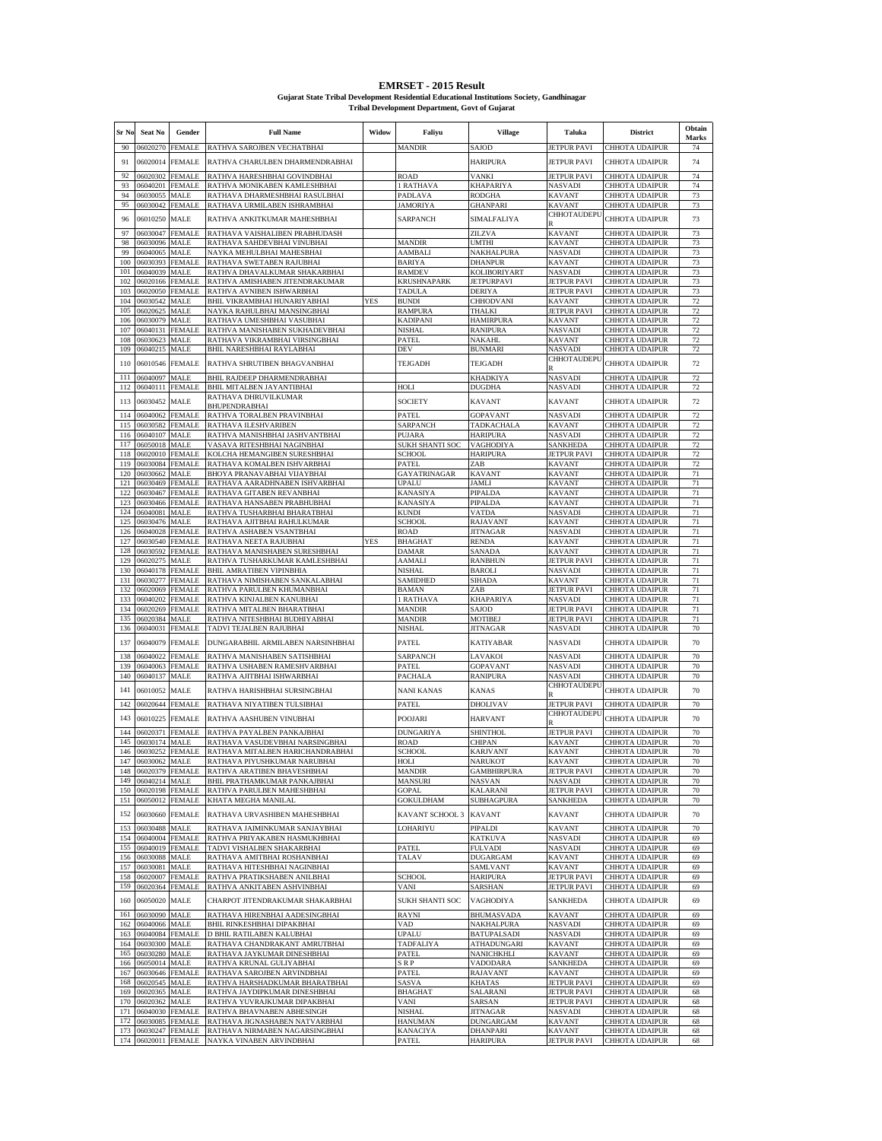| <b>EMRSET - 2015 Result</b>                                                                |  |
|--------------------------------------------------------------------------------------------|--|
| Guiarat State Tribal Development Residential Educational Institutions Society, Gandhinagar |  |
| <b>Tribal Development Department, Govt of Guiarat</b>                                      |  |

| Sr No      | <b>Seat No</b>                   | Gender                         | <b>Full Name</b>                                                 | Widow      | Faliyu                             | <b>Village</b>                      | Taluka                               | <b>District</b>                  | Obtain   |
|------------|----------------------------------|--------------------------------|------------------------------------------------------------------|------------|------------------------------------|-------------------------------------|--------------------------------------|----------------------------------|----------|
|            |                                  |                                |                                                                  |            |                                    |                                     |                                      |                                  | Marks    |
| 90         | 06020270                         | <b>FEMALE</b>                  | RATHVA SAROJBEN VECHATBHAI                                       |            | <b>MANDIR</b>                      | SAJOD                               | <b>JETPUR PAVI</b>                   | CHHOTA UDAIPUR                   | 74       |
| 91         | 06020014 FEMALE                  |                                | RATHVA CHARULBEN DHARMENDRABHAI                                  |            |                                    | <b>HARIPURA</b>                     | <b>JETPUR PAVI</b>                   | CHHOTA UDAIPUR                   | 74       |
| 92<br>93   | 06020302                         | <b>FEMALE</b>                  | RATHVA HARESHBHAI GOVINDBHAI                                     |            | <b>ROAD</b>                        | VANKI                               | <b>JETPUR PAVI</b>                   | CHHOTA UDAIPUR                   | 74<br>74 |
| 94         | 06040201<br>06030055             | <b>FEMALE</b><br>MALE          | RATHVA MONIKABEN KAMLESHBHAI<br>RATHAVA DHARMESHBHAI RASULBHAI   |            | 1 RATHAVA<br>PADLAVA               | <b>KHAPARIYA</b><br><b>RODGHA</b>   | <b>NASVADI</b><br><b>KAVANT</b>      | CHHOTA UDAIPUR<br>CHHOTA UDAIPUR | 73       |
| 95         | 06030042 FEMALE                  |                                | RATHAVA URMILABEN ISHRAMBHAI                                     |            | <b>JAMORIYA</b>                    | <b>GHANPARI</b>                     | <b>KAVANT</b>                        | CHHOTA UDAIPUR                   | 73       |
| 96         | 06010250                         | <b>MALE</b>                    | RATHVA ANKITKUMAR MAHESHBHAI                                     |            | <b>SARPANCH</b>                    | SIMALFALIYA                         | CHHOTAUDEPU                          | CHHOTA UDAIPUR                   | 73       |
| 97         | 06030047                         | <b>FEMALE</b>                  | RATHAVA VAISHALIBEN PRABHUDASH                                   |            |                                    | ZILZVA                              | <b>KAVANT</b>                        | CHHOTA UDAIPUR                   | 73       |
| 98         | 06030096                         | <b>MALE</b>                    | RATHAVA SAHDEVBHAI VINUBHAI                                      |            | <b>MANDIR</b>                      | <b>UMTHI</b>                        | <b>KAVANT</b>                        | CHHOTA UDAIPUR                   | 73       |
| 99<br>100  | 06040065<br>06030393 FEMALE      | <b>MALE</b>                    | NAYKA MEHULBHAI MAHESBHAI<br>RATHAVA SWETABEN RAJUBHAI           |            | AAMBALI<br><b>BARIYA</b>           | NAKHALPURA<br><b>DHANPUR</b>        | <b>NASVADI</b><br><b>KAVANT</b>      | CHHOTA UDAIPUR<br>CHHOTA UDAIPUR | 73<br>73 |
| 101        | 06040039                         | MALE                           | RATHVA DHAVALKUMAR SHAKARBHAI                                    |            | RAMDEV                             | KOLIBORIYART                        | <b>NASVADI</b>                       | CHHOTA UDAIPUR                   | 73       |
| 102        | 06020166                         | FEMALE                         | RATHVA AMISHABEN JITENDRAKUMAR                                   |            | <b>KRUSHNAPARK</b>                 | <b>JETPURPAVI</b>                   | JETPUR PAVI                          | CHHOTA UDAIPUR                   | 73       |
| 103<br>104 | 06020050 FEMALE<br>06030542      | MALE                           | RATHVA AVNIBEN ISHWARBHAI<br>BHIL VIKRAMBHAI HUNARIYABHAI        | YES        | <b>TADULA</b><br><b>BUNDI</b>      | <b>DERIYA</b><br>CHHODVANI          | <b>JETPUR PAVI</b><br><b>KAVANT</b>  | CHHOTA UDAIPUR<br>CHHOTA UDAIPUR | 73<br>72 |
| 105        | 06020625                         | <b>MALE</b>                    | NAYKA RAHULBHAI MANSINGBHAI                                      |            | <b>RAMPURA</b>                     | THALKI                              | <b>JETPUR PAVI</b>                   | CHHOTA UDAIPUR                   | 72       |
| 106        | 06030079 MALE                    |                                | RATHAVA UMESHBHAI VASUBHAI                                       |            | <b>KADIPANI</b>                    | <b>HAMIRPURA</b>                    | <b>KAVANT</b>                        | CHHOTA UDAIPUR                   | 72       |
| 107<br>108 | 06040131 FEMALE<br>06030623      | MALE                           | RATHVA MANISHABEN SUKHADEVBHAI<br>RATHAVA VIKRAMBHAI VIRSINGBHAI |            | NISHAL<br>PATEL                    | <b>RANIPURA</b><br>NAKAHL           | NASVADI<br><b>KAVANT</b>             | CHHOTA UDAIPUR<br>CHHOTA UDAIPUR | 72<br>72 |
| 109        | 06040215                         | <b>MALE</b>                    | BHIL NARESHBHAI RAYLABHAI                                        |            | DEV                                | <b>BUNMARI</b>                      | <b>NASVADI</b>                       | CHHOTA UDAIPUR                   | 72       |
| 110        | 06010546                         | <b>FEMALE</b>                  | RATHVA SHRUTIBEN BHAGVANBHAI                                     |            | TEJGADH                            | TEJGADH                             | CHHOTAUDEPU                          | CHHOTA UDAIPUR                   | 72       |
| 111        | 06040097                         | MALE                           | BHIL RAJDEEP DHARMENDRABHAI                                      |            |                                    | KHADKIYA                            | NASVADI                              | CHHOTA UDAIPUR                   | 72       |
| 112        | 06040111 FEMALE                  |                                | BHIL MITALBEN JAYANTIBHAI                                        |            | HOLI                               | <b>DUGDHA</b>                       | <b>NASVADI</b>                       | CHHOTA UDAIPUR                   | 72       |
|            | 113 06030452                     | <b>MALE</b>                    | RATHAVA DHRUVILKUMAR                                             |            | <b>SOCIETY</b>                     | <b>KAVANT</b>                       | <b>KAVANT</b>                        | CHHOTA UDAIPUR                   | 72       |
| 114        | 06040062                         | <b>FEMALE</b>                  | BHUPENDRABHAI<br>RATHVA TORALBEN PRAVINBHAI                      |            | <b>PATEL</b>                       | <b>GOPAVANT</b>                     | NASVADI                              | CHHOTA UDAIPUR                   | 72       |
| 115        | 06030582 FEMALE                  |                                | RATHAVA ILESHVARIBEN                                             |            | SARPANCH                           | TADKACHALA                          | <b>KAVANT</b>                        | CHHOTA UDAIPUR                   | 72       |
| 116        | 06040107 MALE                    |                                | RATHVA MANISHBHAI JASHVANTBHAI                                   |            | <b>PUJARA</b>                      | <b>HARIPURA</b>                     | <b>NASVADI</b>                       | CHHOTA UDAIPUR                   | 72       |
| 117        | 06050018                         | MALE<br><b>FEMALE</b>          | VASAVA RITESHBHAI NAGINBHAI                                      |            | SUKH SHANTI SOC                    | VAGHODIYA                           | SANKHEDA                             | CHHOTA UDAIPUR                   | 72       |
| 118<br>119 | 06020010<br>06030084             | <b>FEMALE</b>                  | KOLCHA HEMANGIBEN SURESHBHAI<br>RATHAVA KOMALBEN ISHVARBHAI      |            | SCHOOL<br>PATEL                    | <b>HARIPURA</b><br>ZAB              | JETPUR PAVI<br><b>KAVANT</b>         | CHHOTA UDAIPUR<br>CHHOTA UDAIPUR | 72<br>72 |
| 120        | 06030662                         | MALE                           | BHOYA PRANAVABHAI VIJAYBHAI                                      |            | GAYATRINAGAR                       | KAVANT                              | <b>KAVANT</b>                        | CHHOTA UDAIPUR                   | 71       |
| 121        | 06030469 FEMALE                  |                                | RATHAVA AARADHNABEN ISHVARBHAI                                   |            | <b>UPALU</b>                       | <b>JAMLI</b>                        | <b>KAVANT</b>                        | CHHOTA UDAIPUR                   | 71       |
| 122<br>123 | 06030467<br>06030466 FEMALE      | <b>FEMALE</b>                  | RATHAVA GITABEN REVANBHAI<br>RATHAVA HANSABEN PRABHUBHAI         |            | <b>KANASIYA</b><br><b>KANASIYA</b> | PIPALDA<br>PIPALDA                  | <b>KAVANT</b><br><b>KAVANT</b>       | CHHOTA UDAIPUR<br>CHHOTA UDAIPUR | 71<br>71 |
| 124        | 06040081 MALE                    |                                | RATHVA TUSHARBHAI BHARATBHAI                                     |            | <b>KUNDI</b>                       | VATDA                               | <b>NASVADI</b>                       | CHHOTA UDAIPUR                   | 71       |
| 125        | 06030476 MALE                    |                                | RATHAVA AJITBHAI RAHULKUMAR                                      |            | <b>SCHOOL</b>                      | <b>RAJAVANT</b>                     | <b>KAVANT</b>                        | CHHOTA UDAIPUR                   | 71       |
| 126<br>127 | 06040028<br>06030540             | <b>FEMALE</b><br>FEMALE        | RATHVA ASHABEN VSANTBHAI<br>RATHAVA NEETA RAJUBHAI               | <b>YES</b> | <b>ROAD</b><br><b>BHAGHAT</b>      | <b>JITNAGAR</b><br><b>RENDA</b>     | <b>NASVADI</b><br><b>KAVANT</b>      | CHHOTA UDAIPUR<br>CHHOTA UDAIPUR | 71<br>71 |
| 128        | 06030592                         | <b>FEMALE</b>                  | RATHAVA MANISHABEN SURESHBHAI                                    |            | <b>DAMAR</b>                       | SANADA                              | <b>KAVANT</b>                        | CHHOTA UDAIPUR                   | 71       |
| 129        | 06020275                         | MALE                           | RATHVA TUSHARKUMAR KAMLESHBHAI                                   |            | <b>AAMALI</b>                      | <b>RANBHUN</b>                      | <b>JETPUR PAVI</b>                   | CHHOTA UDAIPUR                   | 71       |
| 130<br>131 | 06040178<br>06030277 FEMALE      | <b>FEMALE</b>                  | BHIL AMRATIBEN VIPINBHIA<br>RATHAVA NIMISHABEN SANKALABHAI       |            | NISHAL<br><b>SAMIDHED</b>          | <b>BAROLI</b><br><b>SIHADA</b>      | <b>NASVADI</b><br><b>KAVANT</b>      | CHHOTA UDAIPUR<br>CHHOTA UDAIPUR | 71<br>71 |
| 132        | 06020069                         | <b>FEMALE</b>                  | RATHVA PARULBEN KHUMANBHAI                                       |            | <b>BAMAN</b>                       | ZAB                                 | <b>JETPUR PAVI</b>                   | CHHOTA UDAIPUR                   | 71       |
| 133        | 06040202                         | <b>FEMALE</b>                  | RATHVA KINJALBEN KANUBHAI                                        |            | 1 RATHAVA                          | <b>KHAPARIYA</b>                    | <b>NASVADI</b>                       | CHHOTA UDAIPUR                   | 71       |
| 134        | 06020269                         | FEMALE                         | RATHVA MITALBEN BHARATBHAI                                       |            | <b>MANDIR</b>                      | SAJOD                               | <b>JETPUR PAVI</b>                   | CHHOTA UDAIPUR                   | 71       |
| 135<br>136 | 06020384<br>06040031 FEMALE      | MALE                           | RATHVA NITESHBHAI BUDHIYABHAI<br>TADVI TEJALBEN RAJUBHAI         |            | <b>MANDIR</b><br><b>NISHAL</b>     | <b>MOTIBEJ</b><br><b>JITNAGAR</b>   | <b>JETPUR PAVI</b><br><b>NASVADI</b> | CHHOTA UDAIPUR<br>CHHOTA UDAIPUR | 71<br>70 |
| 137        | 06040079                         | <b>FEMALE</b>                  | DUNGARABHIL ARMILABEN NARSINHBHAI                                |            | <b>PATEL</b>                       | <b>KATIYABAR</b>                    | <b>NASVADI</b>                       | CHHOTA UDAIPUR                   | 70       |
| 138        | 06040022                         | FEMALE                         | RATHVA MANISHABEN SATISHBHAI                                     |            | SARPANCH                           | LAVAKOI                             | <b>NASVADI</b>                       |                                  | 70       |
| 139        | 06040063                         | <b>FEMALE</b>                  | RATHVA USHABEN RAMESHVARBHAI                                     |            | PATEL                              | <b>GOPAVANT</b>                     | NASVADI                              | CHHOTA UDAIPUR<br>CHHOTA UDAIPUR | 70       |
| 140        | 06040137 MALE                    |                                | RATHVA AJITBHAI ISHWARBHAI                                       |            | PACHALA                            | <b>RANIPURA</b>                     | <b>NASVADI</b>                       | CHHOTA UDAIPUR                   | 70       |
| 141        | 06010052 MALE                    |                                | RATHVA HARISHBHAI SURSINGBHAI                                    |            | NANI KANAS                         | <b>KANAS</b>                        | CHHOTAUDEPU                          | CHHOTA UDAIPUR                   | 70       |
| 142        | 06020644                         | <b>FEMALE</b>                  | RATHAVA NIYATIBEN TULSIBHAI                                      |            | PATEL                              | <b>DHOLIVAV</b>                     | <b>JETPUR PAVI</b>                   | CHHOTA UDAIPUR                   | 70       |
| 143        | 06010225                         | <b>FEMALE</b>                  | RATHVA AASHUBEN VINUBHAI                                         |            | POOJARI                            | <b>HARVANT</b>                      | CHHOTAUDEPU                          | CHHOTA UDAIPUR                   | 70       |
| 144        | 06020371 FEMALE                  |                                | RATHVA PAYALBEN PANKAJBHAI                                       |            | <b>DUNGARIYA</b>                   | <b>SHINTHOL</b>                     | <b>JETPUR PAVI</b>                   | CHHOTA UDAIPUR                   | 70       |
| 145        | 06030174 MALE                    |                                | RATHAVA VASUDEVBHAI NARSINGBHAI                                  |            | ROAD                               | <b>CHIPAN</b>                       | <b>KAVANT</b>                        | CHHOTA UDAIPUR                   | 70       |
| 146        |                                  | 06030252 FEMALE                | RATHAVA MITALBEN HARICHANDRABHAI                                 |            | <b>SCHOOL</b>                      | <b>KARJVANT</b>                     | <b>KAVANT</b>                        | CHHOTA UDAIPUR                   | 70       |
| 147<br>148 | 06030062 MALE<br>06020379 FEMALE |                                | RATHAVA PIYUSHKUMAR NARUBHAI                                     |            | HOLI                               | <b>NARUKOT</b>                      | <b>KAVANT</b>                        | CHHOTA UDAIPUR                   | 70       |
| 149        | 06040214 MALE                    |                                | RATHVA ARATIBEN BHAVESHBHAI<br>BHIL PRATHAMKUMAR PANKAJBHAI      |            | MANDIR<br>MANSURI                  | <b>GAMBHIRPURA</b><br>NASVAN        | <b>JETPUR PAVI</b><br>NASVADI        | CHHOTA UDAIPUR<br>CHHOTA UDAIPUR | 70<br>70 |
| 150        | 06020198                         | <b>FEMALE</b>                  | RATHVA PARULBEN MAHESHBHAI                                       |            | <b>GOPAL</b>                       | <b>KALARANI</b>                     | <b>JETPUR PAVI</b>                   | CHHOTA UDAIPUR                   | 70       |
| 151        | 06050012                         | FEMALE                         | KHATA MEGHA MANILAL                                              |            | <b>GOKULDHAM</b>                   | SUBHAGPURA                          | <b>SANKHEDA</b>                      | CHHOTA UDAIPUR                   | 70       |
| 152        | 06030660                         | FEMALE                         | RATHAVA URVASHIBEN MAHESHBHAI                                    |            | KAVANT SCHOOL 3                    | <b>KAVANT</b>                       | <b>KAVANT</b>                        | CHHOTA UDAIPUR                   | 70       |
| 153        | 06030488                         | <b>MALE</b>                    | RATHAVA JAIMINKUMAR SANJAYBHAI                                   |            | LOHARIYU                           | PIPALDI                             | <b>KAVANT</b>                        | CHHOTA UDAIPUR                   | 70       |
| 154        | 06040004 FEMALE                  |                                | RATHVA PRIYAKABEN HASMUKHBHAI                                    |            |                                    | <b>KATKUVA</b>                      | <b>NASVADI</b>                       | CHHOTA UDAIPUR                   | 69       |
| 155<br>156 | 06040019<br>06030088             | <b>FEMALE</b><br>MALE          | TADVI VISHALBEN SHAKARBHAI<br>RATHAVA AMITBHAI ROSHANBHAI        |            | PATEL<br>TALAV                     | FULVADI<br><b>DUGARGAM</b>          | <b>NASVADI</b><br>KAVANT             | CHHOTA UDAIPUR<br>CHHOTA UDAIPUR | 69<br>69 |
| 157        | 06030081                         | MALE                           | RATHAVA HITESHBHAI NAGINBHAI                                     |            |                                    | SAMLVANT                            | <b>KAVANT</b>                        | CHHOTA UDAIPUR                   | 69       |
| 158        | 06020007                         | <b>FEMALE</b>                  | RATHVA PRATIKSHABEN ANILBHAI                                     |            | SCHOOL                             | <b>HARIPURA</b>                     | <b>JETPUR PAVI</b>                   | CHHOTA UDAIPUR                   | 69       |
| 159        | 06020364                         | FEMALE                         | RATHVA ANKITABEN ASHVINBHAI                                      |            | VANI                               | SARSHAN                             | <b>JETPUR PAVI</b>                   | CHHOTA UDAIPUR                   | 69       |
| 160        | 06050020                         | MALE                           | CHARPOT JITENDRAKUMAR SHAKARBHAI                                 |            | SUKH SHANTI SOC                    | VAGHODIYA                           | SANKHEDA                             | CHHOTA UDAIPUR                   | 69       |
| 161        | 06030090 MALE                    |                                | RATHAVA HIRENBHAI AADESINGBHAI                                   |            | RAYNI                              | <b>BHUMASVADA</b>                   | <b>KAVANT</b>                        | CHHOTA UDAIPUR                   | 69       |
| 162<br>163 | 06040066<br>06040084             | <b>MALE</b><br><b>FEMALE</b>   | BHIL RINKESHBHAI DIPAKBHAI<br>D BHIL RATILABEN KALUBHAI          |            | VAD<br>UPALU                       | NAKHALPURA<br><b>BATUPALSADI</b>    | <b>NASVADI</b><br><b>NASVADI</b>     | CHHOTA UDAIPUR<br>CHHOTA UDAIPUR | 69<br>69 |
| 164        | 06030300                         | MALE                           | RATHAVA CHANDRAKANT AMRUTBHAI                                    |            | TADFALIYA                          | ATHADUNGARI                         | KAVANT                               | CHHOTA UDAIPUR                   | 69       |
| 165        | 06030280                         | MALE                           | RATHAVA JAYKUMAR DINESHBHAI                                      |            | PATEL                              | NANICHKHLI                          | <b>KAVANT</b>                        | CHHOTA UDAIPUR                   | 69       |
| 166        | 06050014                         | <b>MALE</b>                    | RATHVA KRUNAL GULIYABHAI                                         |            | S R P                              | VADODARA                            | SANKHEDA                             | CHHOTA UDAIPUR                   | 69       |
| 167<br>168 | 06030646<br>06020545             | FEMALE<br><b>MALE</b>          | RATHAVA SAROJBEN ARVINDBHAI<br>RATHVA HARSHADKUMAR BHARATBHAI    |            | PATEL<br><b>SASVA</b>              | RAJAVANT<br><b>KHATAS</b>           | <b>KAVANT</b><br><b>JETPUR PAVI</b>  | CHHOTA UDAIPUR<br>CHHOTA UDAIPUR | 69<br>69 |
| 169        | 06020365                         | <b>MALE</b>                    | RATHVA JAYDIPKUMAR DINESHBHAI                                    |            | <b>BHAGHAT</b>                     | SALARANI                            | <b>JETPUR PAVI</b>                   | CHHOTA UDAIPUR                   | 68       |
| 170        | 06020362                         | MALE                           | RATHVA YUVRAJKUMAR DIPAKBHAI                                     |            | VANI                               | SARSAN                              | <b>JETPUR PAVI</b>                   | CHHOTA UDAIPUR                   | 68       |
| 171<br>172 | 06040030<br>06030085             | <b>FEMALE</b><br><b>FEMALE</b> | RATHVA BHAVNABEN ABHESINGH<br>RATHAVA JIGNASHABEN NATVARBHAI     |            | NISHAL<br><b>HANUMAN</b>           | <b>JITNAGAR</b><br><b>DUNGARGAM</b> | <b>NASVADI</b><br><b>KAVANT</b>      | CHHOTA UDAIPUR<br>CHHOTA UDAIPUR | 68<br>68 |
| 173        | 06030247 FEMALE                  |                                | RATHAVA NIRMABEN NAGARSINGBHAI                                   |            | <b>KANACIYA</b>                    | DHANPARI                            | <b>KAVANT</b>                        | CHHOTA UDAIPUR                   | 68       |
| 174        | 06020011 FEMALE                  |                                | NAYKA VINABEN ARVINDBHAI                                         |            | PATEL                              | <b>HARIPURA</b>                     | <b>JETPUR PAVI</b>                   | CHHOTA UDAIPUR                   | 68       |